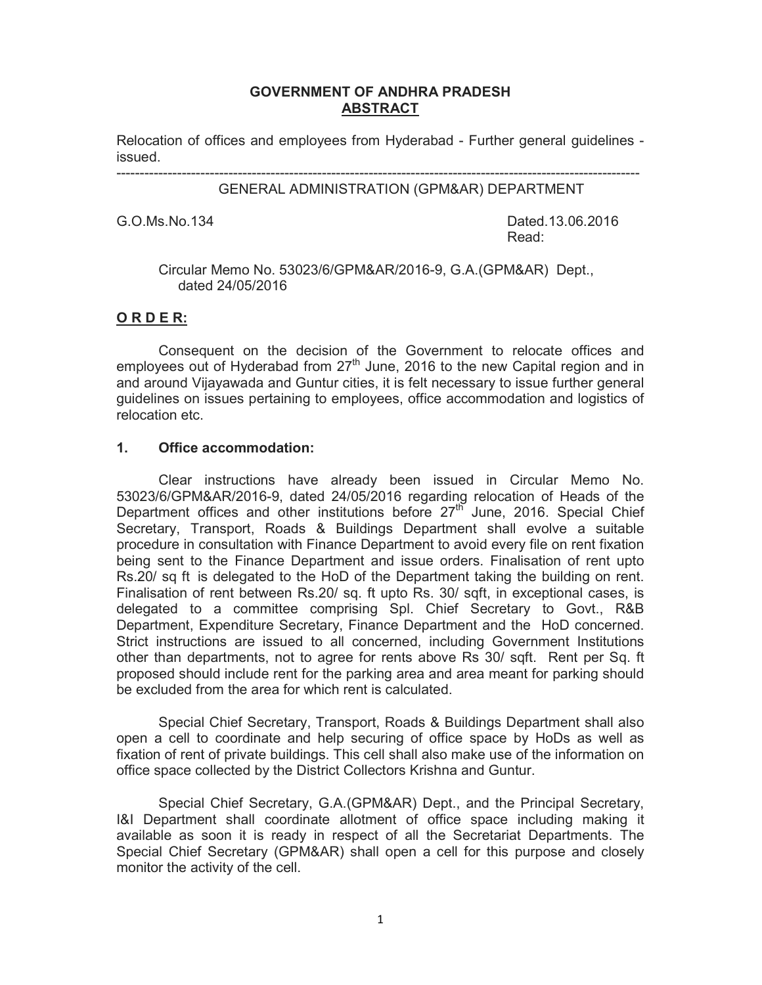#### **GOVERNMENT OF ANDHRA PRADESH ABSTRACT**

Relocation of offices and employees from Hyderabad - Further general guidelines issued.

----------------------------------------------------------------------------------------------------------------

#### GENERAL ADMINISTRATION (GPM&AR) DEPARTMENT

G.O.Ms.No. 134 **Dated.13.06.2016 Read:** The contract of the contract of the contract of the Read:

#### Circular Memo No. 53023/6/GPM&AR/2016-9, G.A.(GPM&AR) Dept., dated 24/05/2016

## **O R D E R:**

Consequent on the decision of the Government to relocate offices and employees out of Hyderabad from  $27<sup>th</sup>$  June, 2016 to the new Capital region and in and around Vijayawada and Guntur cities, it is felt necessary to issue further general guidelines on issues pertaining to employees, office accommodation and logistics of relocation etc.

#### **1. Office accommodation:**

Clear instructions have already been issued in Circular Memo No. 53023/6/GPM&AR/2016-9, dated 24/05/2016 regarding relocation of Heads of the Department offices and other institutions before 27<sup>th</sup> June, 2016. Special Chief Secretary, Transport, Roads & Buildings Department shall evolve a suitable procedure in consultation with Finance Department to avoid every file on rent fixation being sent to the Finance Department and issue orders. Finalisation of rent upto Rs.20/ sq ft is delegated to the HoD of the Department taking the building on rent. Finalisation of rent between Rs.20/ sq. ft upto Rs. 30/ sqft, in exceptional cases, is delegated to a committee comprising Spl. Chief Secretary to Govt., R&B Department, Expenditure Secretary, Finance Department and the HoD concerned. Strict instructions are issued to all concerned, including Government Institutions other than departments, not to agree for rents above Rs 30/ sqft. Rent per Sq. ft proposed should include rent for the parking area and area meant for parking should be excluded from the area for which rent is calculated.

Special Chief Secretary, Transport, Roads & Buildings Department shall also open a cell to coordinate and help securing of office space by HoDs as well as fixation of rent of private buildings. This cell shall also make use of the information on office space collected by the District Collectors Krishna and Guntur.

Special Chief Secretary, G.A.(GPM&AR) Dept., and the Principal Secretary, I&I Department shall coordinate allotment of office space including making it available as soon it is ready in respect of all the Secretariat Departments. The Special Chief Secretary (GPM&AR) shall open a cell for this purpose and closely monitor the activity of the cell.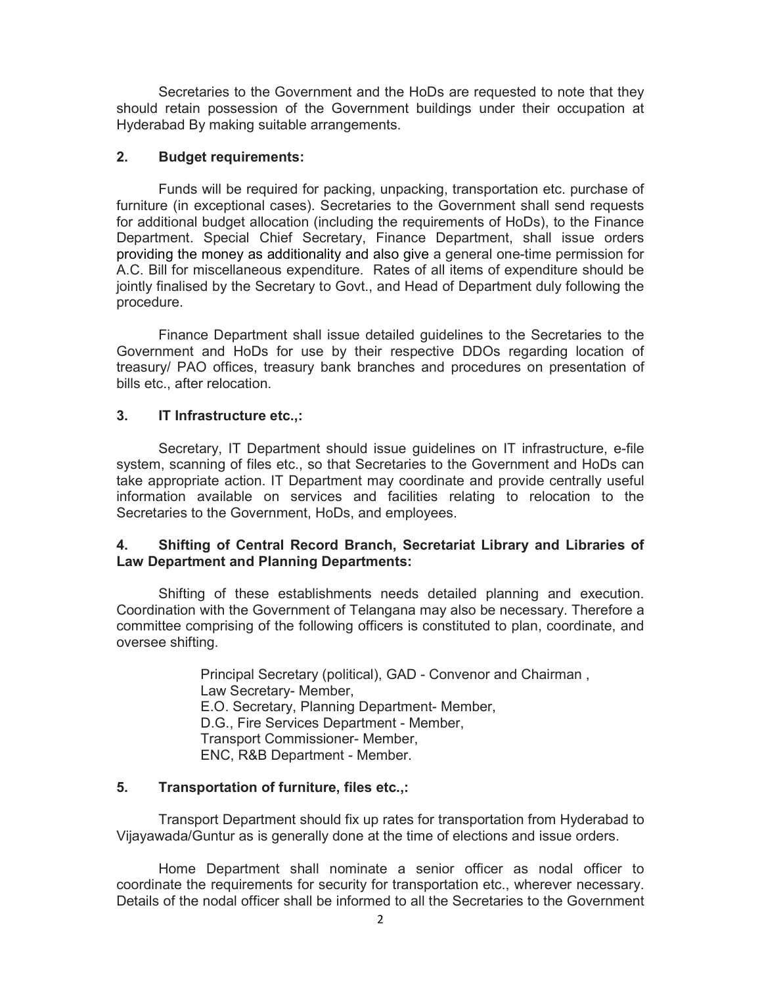Secretaries to the Government and the HoDs are requested to note that they should retain possession of the Government buildings under their occupation at Hyderabad By making suitable arrangements.

#### **2. Budget requirements:**

Funds will be required for packing, unpacking, transportation etc. purchase of furniture (in exceptional cases). Secretaries to the Government shall send requests for additional budget allocation (including the requirements of HoDs), to the Finance Department. Special Chief Secretary, Finance Department, shall issue orders providing the money as additionality and also give a general one-time permission for A.C. Bill for miscellaneous expenditure. Rates of all items of expenditure should be jointly finalised by the Secretary to Govt., and Head of Department duly following the procedure.

Finance Department shall issue detailed guidelines to the Secretaries to the Government and HoDs for use by their respective DDOs regarding location of treasury/ PAO offices, treasury bank branches and procedures on presentation of bills etc., after relocation.

## **3. IT Infrastructure etc.,:**

Secretary, IT Department should issue guidelines on IT infrastructure, e-file system, scanning of files etc., so that Secretaries to the Government and HoDs can take appropriate action. IT Department may coordinate and provide centrally useful information available on services and facilities relating to relocation to the Secretaries to the Government, HoDs, and employees.

#### **4. Shifting of Central Record Branch, Secretariat Library and Libraries of Law Department and Planning Departments:**

Shifting of these establishments needs detailed planning and execution. Coordination with the Government of Telangana may also be necessary. Therefore a committee comprising of the following officers is constituted to plan, coordinate, and oversee shifting.

> Principal Secretary (political), GAD - Convenor and Chairman , Law Secretary- Member, E.O. Secretary, Planning Department- Member, D.G., Fire Services Department - Member, Transport Commissioner- Member, ENC, R&B Department - Member.

## **5. Transportation of furniture, files etc.,:**

Transport Department should fix up rates for transportation from Hyderabad to Vijayawada/Guntur as is generally done at the time of elections and issue orders.

Home Department shall nominate a senior officer as nodal officer to coordinate the requirements for security for transportation etc., wherever necessary. Details of the nodal officer shall be informed to all the Secretaries to the Government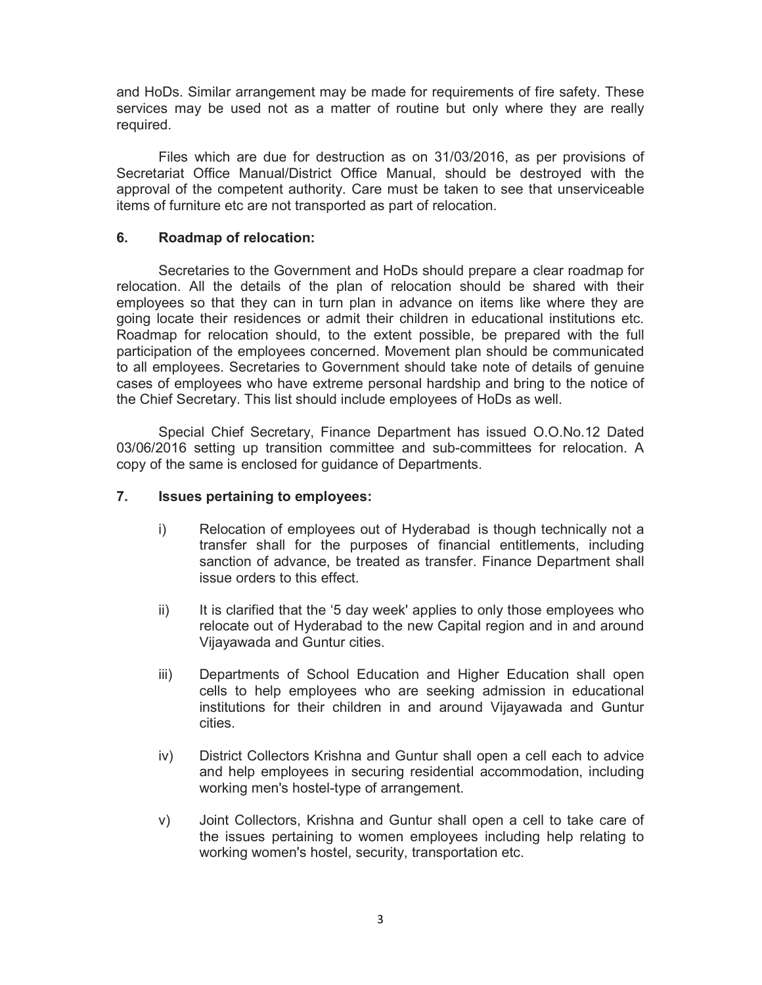and HoDs. Similar arrangement may be made for requirements of fire safety. These services may be used not as a matter of routine but only where they are really required.

Files which are due for destruction as on 31/03/2016, as per provisions of Secretariat Office Manual/District Office Manual, should be destroyed with the approval of the competent authority. Care must be taken to see that unserviceable items of furniture etc are not transported as part of relocation.

#### **6. Roadmap of relocation:**

Secretaries to the Government and HoDs should prepare a clear roadmap for relocation. All the details of the plan of relocation should be shared with their employees so that they can in turn plan in advance on items like where they are going locate their residences or admit their children in educational institutions etc. Roadmap for relocation should, to the extent possible, be prepared with the full participation of the employees concerned. Movement plan should be communicated to all employees. Secretaries to Government should take note of details of genuine cases of employees who have extreme personal hardship and bring to the notice of the Chief Secretary. This list should include employees of HoDs as well.

Special Chief Secretary, Finance Department has issued O.O.No.12 Dated 03/06/2016 setting up transition committee and sub-committees for relocation. A copy of the same is enclosed for guidance of Departments.

#### **7. Issues pertaining to employees:**

- i) Relocation of employees out of Hyderabad is though technically not a transfer shall for the purposes of financial entitlements, including sanction of advance, be treated as transfer. Finance Department shall issue orders to this effect.
- ii) It is clarified that the '5 day week' applies to only those employees who relocate out of Hyderabad to the new Capital region and in and around Vijayawada and Guntur cities.
- iii) Departments of School Education and Higher Education shall open cells to help employees who are seeking admission in educational institutions for their children in and around Vijayawada and Guntur cities.
- iv) District Collectors Krishna and Guntur shall open a cell each to advice and help employees in securing residential accommodation, including working men's hostel-type of arrangement.
- v) Joint Collectors, Krishna and Guntur shall open a cell to take care of the issues pertaining to women employees including help relating to working women's hostel, security, transportation etc.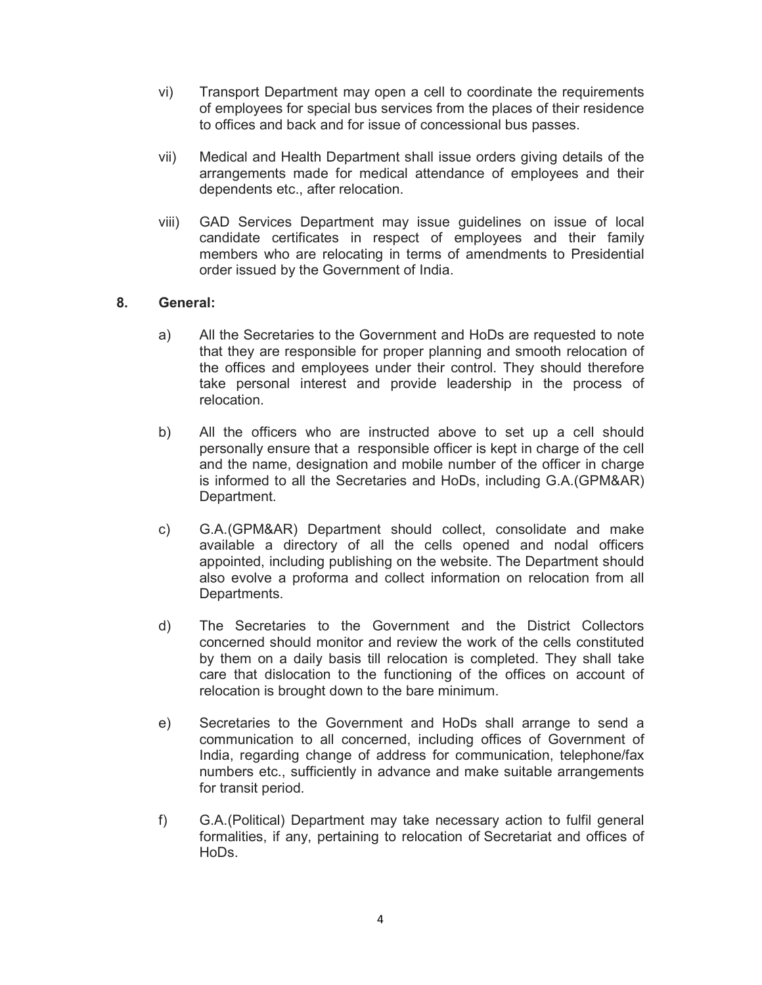- vi) Transport Department may open a cell to coordinate the requirements of employees for special bus services from the places of their residence to offices and back and for issue of concessional bus passes.
- vii) Medical and Health Department shall issue orders giving details of the arrangements made for medical attendance of employees and their dependents etc., after relocation.
- viii) GAD Services Department may issue guidelines on issue of local candidate certificates in respect of employees and their family members who are relocating in terms of amendments to Presidential order issued by the Government of India.

#### **8. General:**

- a) All the Secretaries to the Government and HoDs are requested to note that they are responsible for proper planning and smooth relocation of the offices and employees under their control. They should therefore take personal interest and provide leadership in the process of relocation.
- b) All the officers who are instructed above to set up a cell should personally ensure that a responsible officer is kept in charge of the cell and the name, designation and mobile number of the officer in charge is informed to all the Secretaries and HoDs, including G.A.(GPM&AR) Department.
- c) G.A.(GPM&AR) Department should collect, consolidate and make available a directory of all the cells opened and nodal officers appointed, including publishing on the website. The Department should also evolve a proforma and collect information on relocation from all Departments.
- d) The Secretaries to the Government and the District Collectors concerned should monitor and review the work of the cells constituted by them on a daily basis till relocation is completed. They shall take care that dislocation to the functioning of the offices on account of relocation is brought down to the bare minimum.
- e) Secretaries to the Government and HoDs shall arrange to send a communication to all concerned, including offices of Government of India, regarding change of address for communication, telephone/fax numbers etc., sufficiently in advance and make suitable arrangements for transit period.
- f) G.A.(Political) Department may take necessary action to fulfil general formalities, if any, pertaining to relocation of Secretariat and offices of HoDs.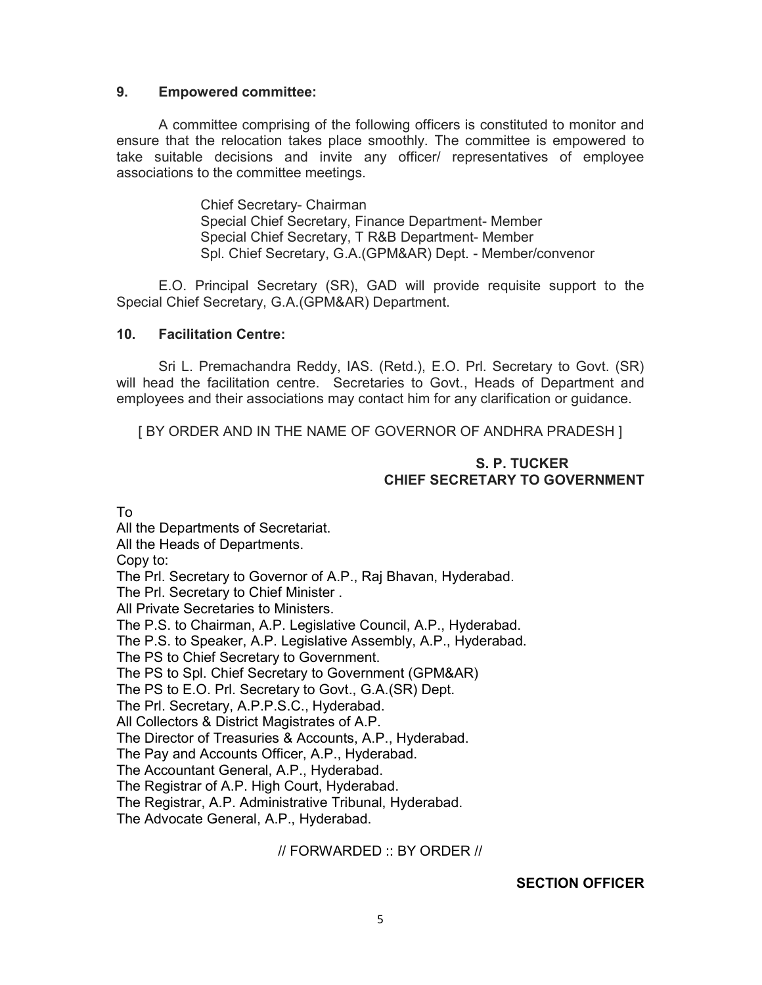#### **9. Empowered committee:**

A committee comprising of the following officers is constituted to monitor and ensure that the relocation takes place smoothly. The committee is empowered to take suitable decisions and invite any officer/ representatives of employee associations to the committee meetings.

> Chief Secretary- Chairman Special Chief Secretary, Finance Department- Member Special Chief Secretary, T R&B Department- Member Spl. Chief Secretary, G.A.(GPM&AR) Dept. - Member/convenor

E.O. Principal Secretary (SR), GAD will provide requisite support to the Special Chief Secretary, G.A.(GPM&AR) Department.

#### **10. Facilitation Centre:**

Sri L. Premachandra Reddy, IAS. (Retd.), E.O. Prl. Secretary to Govt. (SR) will head the facilitation centre. Secretaries to Govt., Heads of Department and employees and their associations may contact him for any clarification or guidance.

[ BY ORDER AND IN THE NAME OF GOVERNOR OF ANDHRA PRADESH ]

#### **S. P. TUCKER CHIEF SECRETARY TO GOVERNMENT**

To

All the Departments of Secretariat. All the Heads of Departments. Copy to: The Prl. Secretary to Governor of A.P., Raj Bhavan, Hyderabad. The Prl. Secretary to Chief Minister . All Private Secretaries to Ministers. The P.S. to Chairman, A.P. Legislative Council, A.P., Hyderabad. The P.S. to Speaker, A.P. Legislative Assembly, A.P., Hyderabad. The PS to Chief Secretary to Government. The PS to Spl. Chief Secretary to Government (GPM&AR) The PS to E.O. Prl. Secretary to Govt., G.A.(SR) Dept. The Prl. Secretary, A.P.P.S.C., Hyderabad. All Collectors & District Magistrates of A.P. The Director of Treasuries & Accounts, A.P., Hyderabad. The Pay and Accounts Officer, A.P., Hyderabad. The Accountant General, A.P., Hyderabad. The Registrar of A.P. High Court, Hyderabad. The Registrar, A.P. Administrative Tribunal, Hyderabad. The Advocate General, A.P., Hyderabad.

// FORWARDED :: BY ORDER //

**SECTION OFFICER**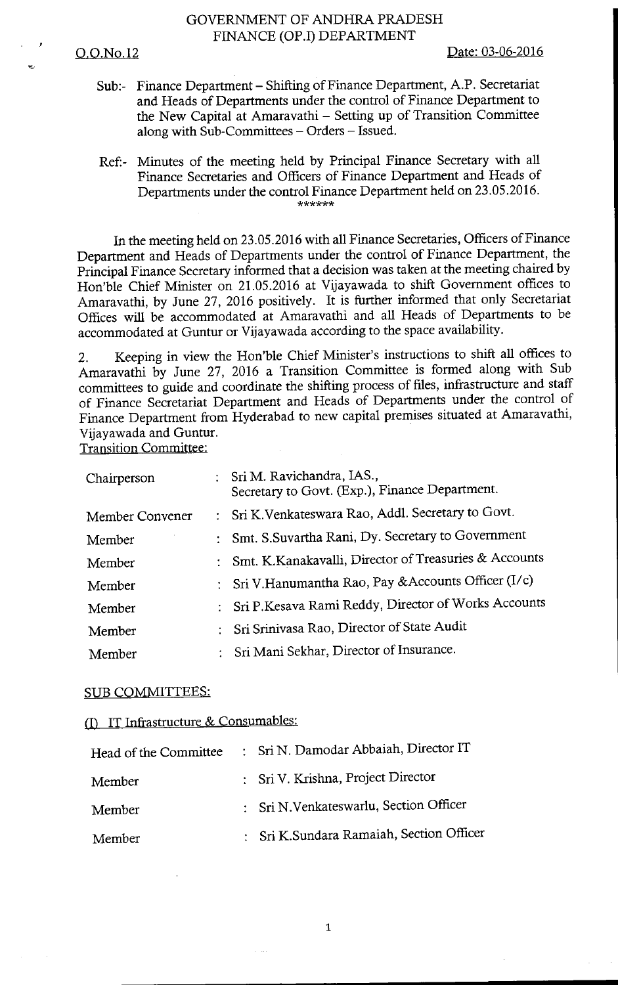## GOVERNMENT OF ANDHRA PRADESH FINANCE (OP.I) DEPARTMENT

#### O.O.No.12

Date: 03-06-2016

- Sub:- Finance Department Shifting of Finance Department, A.P. Secretariat and Heads of Departments under the control of Finance Department to the New Capital at Amaravathi - Setting up of Transition Committee along with Sub-Committees - Orders - Issued.
- Minutes of the meeting held by Principal Finance Secretary with all Ref:-Finance Secretaries and Officers of Finance Department and Heads of Departments under the control Finance Department held on 23.05.2016. \*\*\*\*\*\*

In the meeting held on 23.05.2016 with all Finance Secretaries, Officers of Finance Department and Heads of Departments under the control of Finance Department, the Principal Finance Secretary informed that a decision was taken at the meeting chaired by Hon'ble Chief Minister on 21.05.2016 at Vijayawada to shift Government offices to Amaravathi, by June 27, 2016 positively. It is further informed that only Secretariat Offices will be accommodated at Amaravathi and all Heads of Departments to be accommodated at Guntur or Vijayawada according to the space availability.

Keeping in view the Hon'ble Chief Minister's instructions to shift all offices to  $2.$ Amaravathi by June 27, 2016 a Transition Committee is formed along with Sub committees to guide and coordinate the shifting process of files, infrastructure and staff of Finance Secretariat Department and Heads of Departments under the control of Finance Department from Hyderabad to new capital premises situated at Amaravathi, Vijavawada and Guntur.

**Transition Committee:** 

| Chairperson     | : Sri M. Ravichandra, IAS.,<br>Secretary to Govt. (Exp.), Finance Department. |
|-----------------|-------------------------------------------------------------------------------|
| Member Convener | : Sri K. Venkateswara Rao, Addl. Secretary to Govt.                           |
| Member          | : Smt. S.Suvartha Rani, Dy. Secretary to Government                           |
| Member          | Smt. K.Kanakavalli, Director of Treasuries & Accounts                         |
| Member          | : Sri V. Hanumantha Rao, Pay & Accounts Officer (I/c)                         |
| Member          | : Sri P.Kesava Rami Reddy, Director of Works Accounts                         |
| Member          | Sri Srinivasa Rao, Director of State Audit                                    |
| Member          | Sri Mani Sekhar, Director of Insurance.                                       |

#### **SUB COMMITTEES:**

# (I) IT Infrastructure & Consumables:

| Head of the Committee | : Sri N. Damodar Abbaiah, Director IT    |  |
|-----------------------|------------------------------------------|--|
| Member                | : Sri V. Krishna, Project Director       |  |
| Member                | : Sri N.Venkateswarlu, Section Officer   |  |
| Member                | : Sri K.Sundara Ramaiah, Section Officer |  |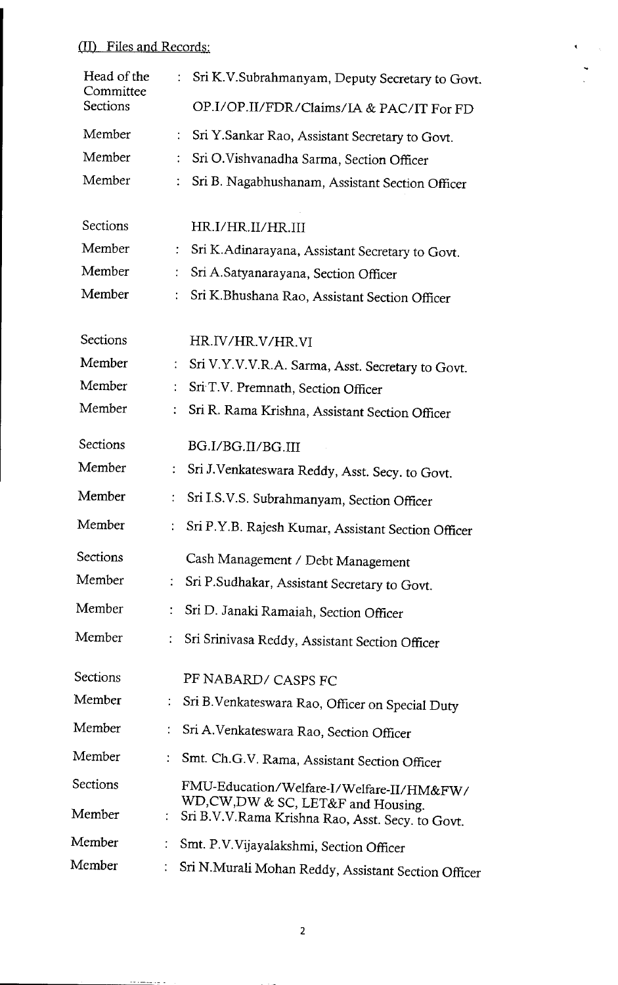# (II) Files and Records:

| Head of the<br>Committee | $\ddot{\cdot}$<br>Sri K.V.Subrahmanyam, Deputy Secretary to Govt.                                             |
|--------------------------|---------------------------------------------------------------------------------------------------------------|
| <b>Sections</b>          | OP.I/OP.II/FDR/Claims/IA & PAC/IT For FD                                                                      |
| Member                   | ÷<br>Sri Y.Sankar Rao, Assistant Secretary to Govt.                                                           |
| Member                   | $\ddot{\cdot}$<br>Sri O.Vishvanadha Sarma, Section Officer                                                    |
| Member                   | Sri B. Nagabhushanam, Assistant Section Officer<br>÷                                                          |
| Sections                 | HR.I/HR.II/HR.III                                                                                             |
| Member                   | ÷<br>Sri K.Adinarayana, Assistant Secretary to Govt.                                                          |
| Member                   | Sri A.Satyanarayana, Section Officer<br>÷                                                                     |
| Member                   | Sri K.Bhushana Rao, Assistant Section Officer                                                                 |
| Sections                 | HR.IV/HR.V/HR.VI                                                                                              |
| Member                   | Sri V.Y.V.V.R.A. Sarma, Asst. Secretary to Govt.                                                              |
| Member                   | Sri T.V. Premnath, Section Officer                                                                            |
| Member                   | Sri R. Rama Krishna, Assistant Section Officer                                                                |
| Sections                 | BG.I/BG.II/BG.III                                                                                             |
| Member                   | Sri J.Venkateswara Reddy, Asst. Secy. to Govt.                                                                |
| Member                   | Sri I.S.V.S. Subrahmanyam, Section Officer                                                                    |
| Member                   | Sri P.Y.B. Rajesh Kumar, Assistant Section Officer                                                            |
| <b>Sections</b>          | Cash Management / Debt Management                                                                             |
| Member                   | Sri P.Sudhakar, Assistant Secretary to Govt.                                                                  |
| Member                   | t<br>Sri D. Janaki Ramaiah, Section Officer                                                                   |
| Member                   | Sri Srinivasa Reddy, Assistant Section Officer                                                                |
| Sections                 | PF NABARD/ CASPS FC                                                                                           |
| Member                   | Sri B. Venkateswara Rao, Officer on Special Duty                                                              |
| Member                   | ÷<br>Sri A.Venkateswara Rao, Section Officer                                                                  |
| Member                   | Smt. Ch.G.V. Rama, Assistant Section Officer                                                                  |
| Sections                 | FMU-Education/Welfare-I/Welfare-II/HM&FW/                                                                     |
| Member                   | WD,CW,DW & SC, LET&F and Housing.<br>$\ddot{\phantom{0}}$<br>Sri B.V.V.Rama Krishna Rao, Asst. Secy. to Govt. |
| Member                   | $\ddot{\phantom{a}}$<br>Smt. P.V.Vijayalakshmi, Section Officer                                               |
| Member                   | Sri N.Murali Mohan Reddy, Assistant Section Officer                                                           |

 $\ddot{\phantom{0}}$ 

and a summary of the first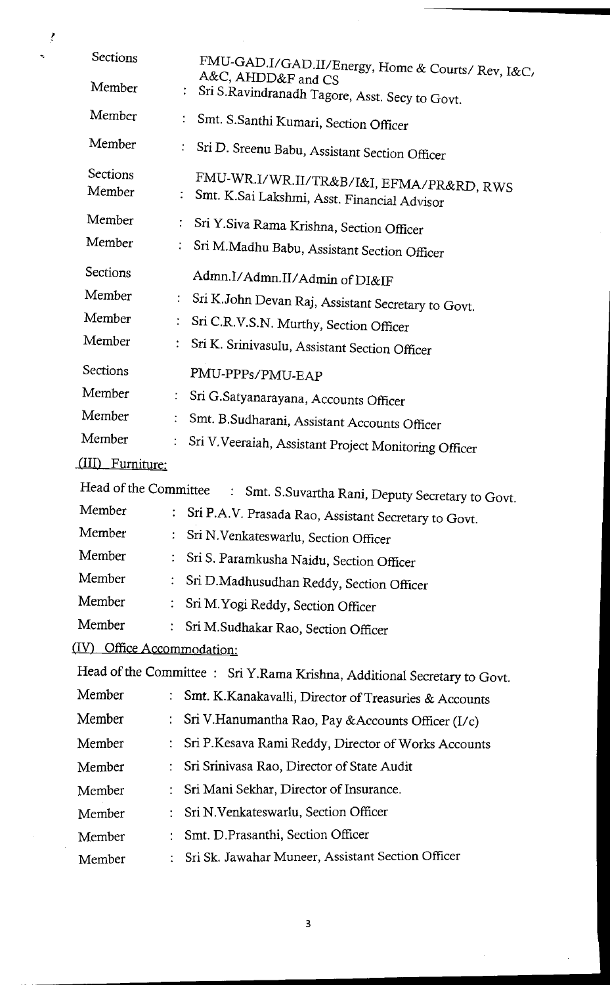| Sections         |                                                                                                                          |
|------------------|--------------------------------------------------------------------------------------------------------------------------|
| Member           | FMU-GAD.I/GAD.II/Energy, Home & Courts/ Rev, I&C<br>A&C, AHDD&F and CS<br>Sri S.Ravindranadh Tagore, Asst. Secy to Govt. |
| Member           |                                                                                                                          |
|                  | Smt. S.Santhi Kumari, Section Officer                                                                                    |
| Member           | Sri D. Sreenu Babu, Assistant Section Officer                                                                            |
| Sections         | FMU-WR.I/WR.II/TR&B/I&I, EFMA/PR&RD, RWS                                                                                 |
| Member           | Smt. K.Sai Lakshmi, Asst. Financial Advisor                                                                              |
| Member           | Sri Y.Siva Rama Krishna, Section Officer                                                                                 |
| Member           | Sri M.Madhu Babu, Assistant Section Officer                                                                              |
| <b>Sections</b>  | Admn.I/Admn.II/Admin of DI&IF                                                                                            |
| Member           | ÷.<br>Sri K.John Devan Raj, Assistant Secretary to Govt.                                                                 |
| Member           | Sri C.R.V.S.N. Murthy, Section Officer                                                                                   |
| Member           | Sri K. Srinivasulu, Assistant Section Officer                                                                            |
| Sections         | PMU-PPPs/PMU-EAP                                                                                                         |
| Member           | Sri G.Satyanarayana, Accounts Officer                                                                                    |
| Member           | Smt. B.Sudharani, Assistant Accounts Officer                                                                             |
| Member           | Sri V. Veeraiah, Assistant Project Monitoring Officer                                                                    |
| (III) Furniture: |                                                                                                                          |
|                  | Head of the Committee : Smt. S.Suvartha Rani, Deputy Secretary to Govt.                                                  |
| Member           | Sri P.A.V. Prasada Rao, Assistant Secretary to Govt.                                                                     |
| Member           | Sri N.Venkateswarlu, Section Officer                                                                                     |
| Member           | Sri S. Paramkusha Naidu, Section Officer                                                                                 |
| Member           | Sri D.Madhusudhan Reddy, Section Officer                                                                                 |
| Member           | $\ddot{\cdot}$<br>Sri M. Yogi Reddy, Section Officer                                                                     |
| Member           | Sri M.Sudhakar Rao, Section Officer                                                                                      |
|                  | (IV) Office Accommodation:                                                                                               |
|                  | Head of the Committee: Sri Y.Rama Krishna, Additional Secretary to Govt.                                                 |
| Member           | Smt. K.Kanakavalli, Director of Treasuries & Accounts                                                                    |
| Member           | Sri V. Hanumantha Rao, Pay & Accounts Officer (I/c)                                                                      |
| Member           | Sri P.Kesava Rami Reddy, Director of Works Accounts                                                                      |
| Member           | Sri Srinivasa Rao, Director of State Audit                                                                               |
| Member           | Sri Mani Sekhar, Director of Insurance.                                                                                  |
| Member           | Sri N. Venkateswarlu, Section Officer                                                                                    |
| Member           | Smt. D.Prasanthi, Section Officer<br>÷                                                                                   |
| Member           | Sri Sk. Jawahar Muneer, Assistant Section Officer                                                                        |
|                  |                                                                                                                          |

 $\lambda$ 

 $\frac{1}{2}$ 

 $\overline{\mathbf{3}}$